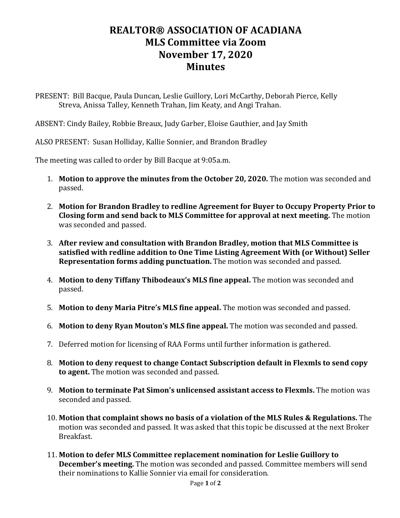## **REALTOR® ASSOCIATION OF ACADIANA MLS Committee via Zoom November 17, 2020 Minutes**

PRESENT: Bill Bacque, Paula Duncan, Leslie Guillory, Lori McCarthy, Deborah Pierce, Kelly Streva, Anissa Talley, Kenneth Trahan, Jim Keaty, and Angi Trahan.

ABSENT: Cindy Bailey, Robbie Breaux, Judy Garber, Eloise Gauthier, and Jay Smith

ALSO PRESENT: Susan Holliday, Kallie Sonnier, and Brandon Bradley

The meeting was called to order by Bill Bacque at 9:05a.m.

- 1. **Motion to approve the minutes from the October 20, 2020.** The motion was seconded and passed.
- 2. **Motion for Brandon Bradley to redline Agreement for Buyer to Occupy Property Prior to Closing form and send back to MLS Committee for approval at next meeting.** The motion was seconded and passed.
- 3. **After review and consultation with Brandon Bradley, motion that MLS Committee is satisfied with redline addition to One Time Listing Agreement With (or Without) Seller Representation forms adding punctuation.** The motion was seconded and passed.
- 4. **Motion to deny Tiffany Thibodeaux's MLS fine appeal.** The motion was seconded and passed.
- 5. **Motion to deny Maria Pitre's MLS fine appeal.** The motion was seconded and passed.
- 6. **Motion to deny Ryan Mouton's MLS fine appeal.** The motion was seconded and passed.
- 7. Deferred motion for licensing of RAA Forms until further information is gathered.
- 8. **Motion to deny request to change Contact Subscription default in Flexmls to send copy to agent.** The motion was seconded and passed.
- 9. **Motion to terminate Pat Simon's unlicensed assistant access to Flexmls.** The motion was seconded and passed.
- 10. **Motion that complaint shows no basis of a violation of the MLS Rules & Regulations.** The motion was seconded and passed. It was asked that this topic be discussed at the next Broker Breakfast.
- 11. **Motion to defer MLS Committee replacement nomination for Leslie Guillory to December's meeting.** The motion was seconded and passed. Committee members will send their nominations to Kallie Sonnier via email for consideration.